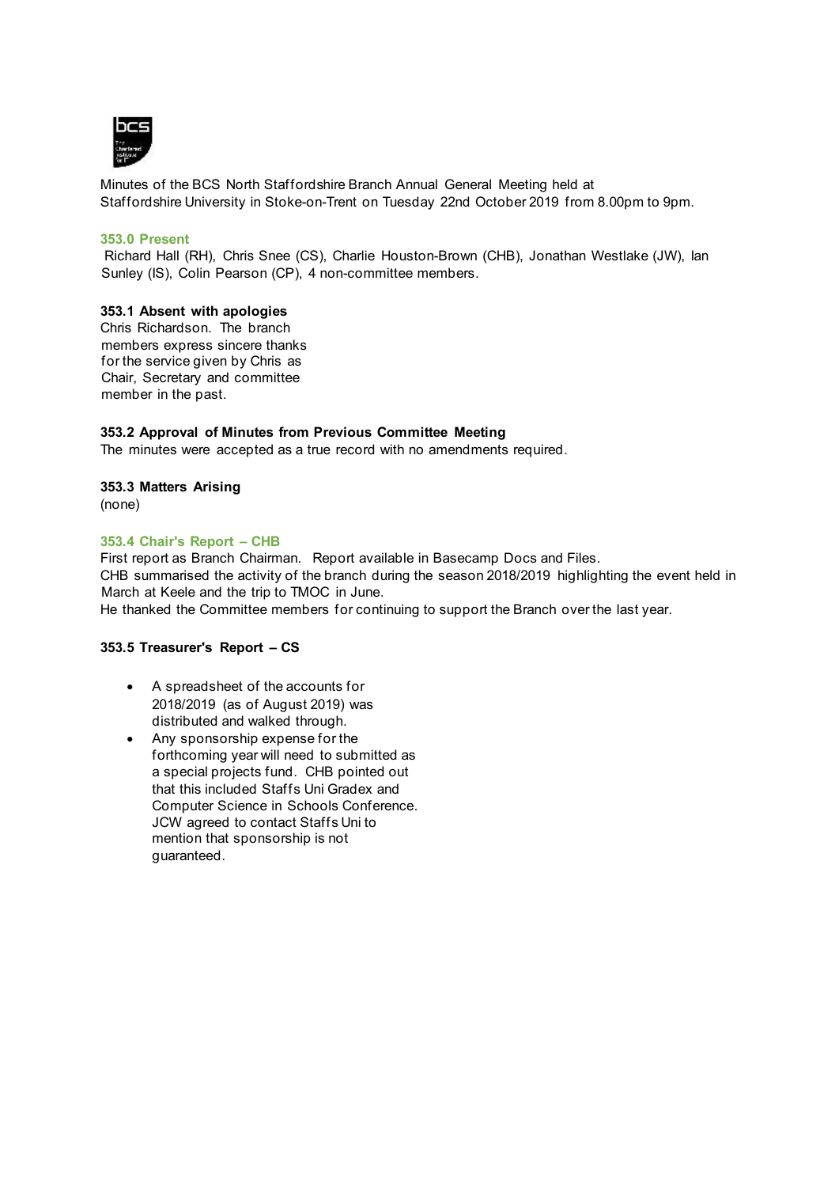

Minutes of the BCS North Staffordshire Branch Annual General Meeting held at Staffordshire University in Stoke-on-Trent on Tuesday 22nd October 2019 from 8.00pm to 9pm.

## **353.0 Present**

Richard Hall (RH), Chris Snee (CS), Charlie Houston-Brown (CHB), Jonathan Westlake (JW), Ian Sunley (IS), Colin Pearson (CP), 4 non-committee members.

#### **353.1 Absent with apologies**

Chris Richardson. The branch members express sincere thanks for the service given by Chris as Chair, Secretary and committee member in the past.

#### **353.2 Approval of Minutes from Previous Committee Meeting**

The minutes were accepted as a true record with no amendments required.

## **353.3 Matters Arising**

(none)

#### **353.4 Chair's Report – CHB**

First report as Branch Chairman. Report available in Basecamp Docs and Files. CHB summarised the activity of the branch during the season 2018/2019 highlighting the event held in March at Keele and the trip to TMOC in June. He thanked the Committee members for continuing to support the Branch over the last year.

## **353.5 Treasurer's Report – CS**

- A spreadsheet of the accounts for 2018/2019 (as of August 2019) was distributed and walked through.
- Any sponsorship expense for the forthcoming year will need to submitted as a special projects fund. CHB pointed out that this included Staffs Uni Gradex and Computer Science in Schools Conference. JCW agreed to contact Staffs Uni to mention that sponsorship is not guaranteed.